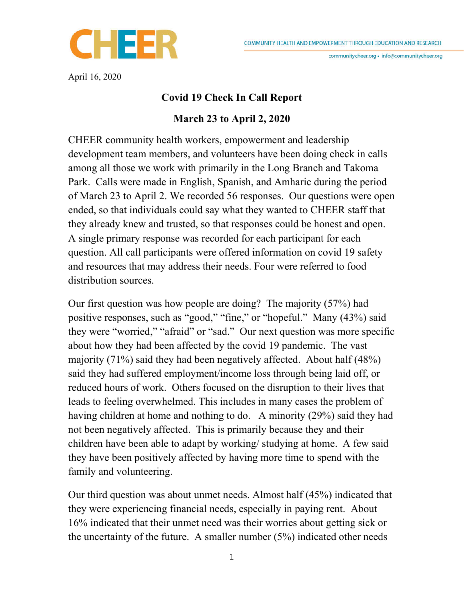communitycheer.org · info@communitycheer.org



April 16, 2020

## Covid 19 Check In Call Report

## March 23 to April 2, 2020

CHEER community health workers, empowerment and leadership development team members, and volunteers have been doing check in calls among all those we work with primarily in the Long Branch and Takoma Park. Calls were made in English, Spanish, and Amharic during the period of March 23 to April 2. We recorded 56 responses. Our questions were open ended, so that individuals could say what they wanted to CHEER staff that they already knew and trusted, so that responses could be honest and open. A single primary response was recorded for each participant for each question. All call participants were offered information on covid 19 safety and resources that may address their needs. Four were referred to food distribution sources.

Our first question was how people are doing? The majority (57%) had positive responses, such as "good," "fine," or "hopeful." Many (43%) said they were "worried," "afraid" or "sad." Our next question was more specific about how they had been affected by the covid 19 pandemic. The vast majority (71%) said they had been negatively affected. About half (48%) said they had suffered employment/income loss through being laid off, or reduced hours of work. Others focused on the disruption to their lives that leads to feeling overwhelmed. This includes in many cases the problem of having children at home and nothing to do. A minority (29%) said they had not been negatively affected. This is primarily because they and their children have been able to adapt by working/ studying at home. A few said they have been positively affected by having more time to spend with the family and volunteering.

Our third question was about unmet needs. Almost half (45%) indicated that they were experiencing financial needs, especially in paying rent. About 16% indicated that their unmet need was their worries about getting sick or the uncertainty of the future. A smaller number (5%) indicated other needs